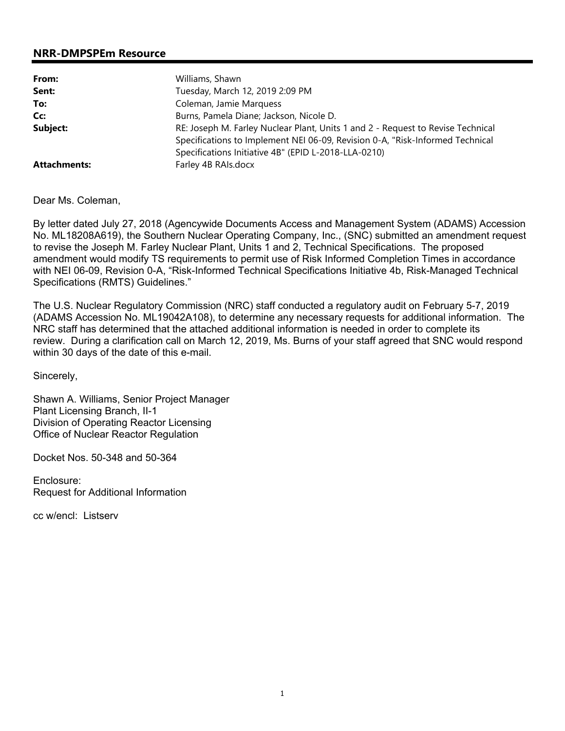# **NRR-DMPSPEm Resource**

| From:               | Williams, Shawn                                                                 |
|---------------------|---------------------------------------------------------------------------------|
| Sent:               | Tuesday, March 12, 2019 2:09 PM                                                 |
| To:                 | Coleman, Jamie Marquess                                                         |
| Cc:                 | Burns, Pamela Diane; Jackson, Nicole D.                                         |
| Subject:            | RE: Joseph M. Farley Nuclear Plant, Units 1 and 2 - Request to Revise Technical |
|                     | Specifications to Implement NEI 06-09, Revision 0-A, "Risk-Informed Technical   |
|                     | Specifications Initiative 4B" (EPID L-2018-LLA-0210)                            |
| <b>Attachments:</b> | Farley 4B RAIs.docx                                                             |

Dear Ms. Coleman,

By letter dated July 27, 2018 (Agencywide Documents Access and Management System (ADAMS) Accession No. ML18208A619), the Southern Nuclear Operating Company, Inc., (SNC) submitted an amendment request to revise the Joseph M. Farley Nuclear Plant, Units 1 and 2, Technical Specifications. The proposed amendment would modify TS requirements to permit use of Risk Informed Completion Times in accordance with NEI 06-09, Revision 0-A, "Risk-Informed Technical Specifications Initiative 4b, Risk-Managed Technical Specifications (RMTS) Guidelines."

The U.S. Nuclear Regulatory Commission (NRC) staff conducted a regulatory audit on February 5-7, 2019 (ADAMS Accession No. ML19042A108), to determine any necessary requests for additional information. The NRC staff has determined that the attached additional information is needed in order to complete its review. During a clarification call on March 12, 2019, Ms. Burns of your staff agreed that SNC would respond within 30 days of the date of this e-mail.

Sincerely,

Shawn A. Williams, Senior Project Manager Plant Licensing Branch, II-1 Division of Operating Reactor Licensing Office of Nuclear Reactor Regulation

Docket Nos. 50-348 and 50-364

Enclosure: Request for Additional Information

cc w/encl: Listserv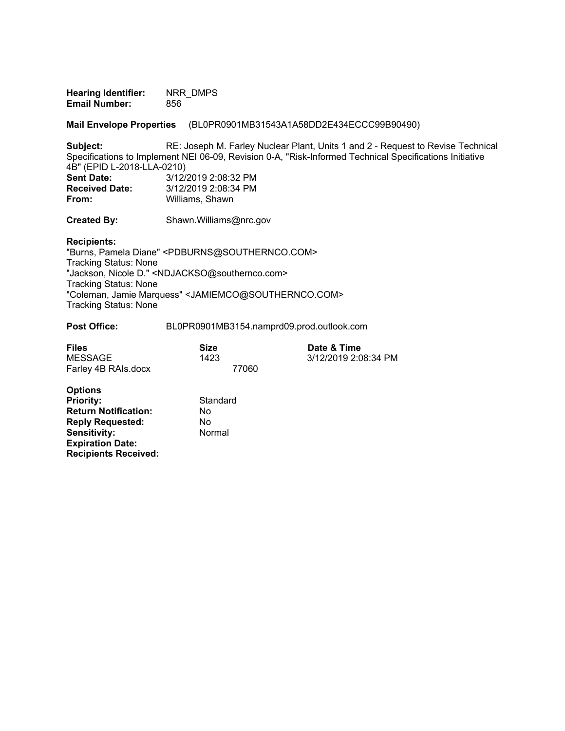**Hearing Identifier:** NRR\_DMPS **Email Number:** 856

**Mail Envelope Properties** (BL0PR0901MB31543A1A58DD2E434ECCC99B90490)

**Subject:** RE: Joseph M. Farley Nuclear Plant, Units 1 and 2 - Request to Revise Technical Specifications to Implement NEI 06-09, Revision 0-A, "Risk-Informed Technical Specifications Initiative 4B" (EPID L-2018-LLA-0210) **Sent Date:** 3/12/2019 2:08:32 PM<br>**Received Date:** 3/12/2019 2:08:34 PM **Received Date:** 3/12/2019 2:08:34 PM<br>**From:** Williams, Shawn

**From:** Williams, Shawn

**Created By:** Shawn.Williams@nrc.gov

#### **Recipients:**

"Burns, Pamela Diane" <PDBURNS@SOUTHERNCO.COM> Tracking Status: None "Jackson, Nicole D." <NDJACKSO@southernco.com> Tracking Status: None "Coleman, Jamie Marquess" <JAMIEMCO@SOUTHERNCO.COM> Tracking Status: None

#### **Post Office:** BL0PR0901MB3154.namprd09.prod.outlook.com

| <b>Files</b>        | Size  | Date & Time          |
|---------------------|-------|----------------------|
| MESSAGE             | 1423  | 3/12/2019 2:08:34 PM |
| Farley 4B RAIs.docx | 77060 |                      |

| <b>Options</b>              |          |
|-----------------------------|----------|
| <b>Priority:</b>            | Standard |
| <b>Return Notification:</b> | No       |
| <b>Reply Requested:</b>     | No       |
| Sensitivity:                | Normal   |
| <b>Expiration Date:</b>     |          |
| <b>Recipients Received:</b> |          |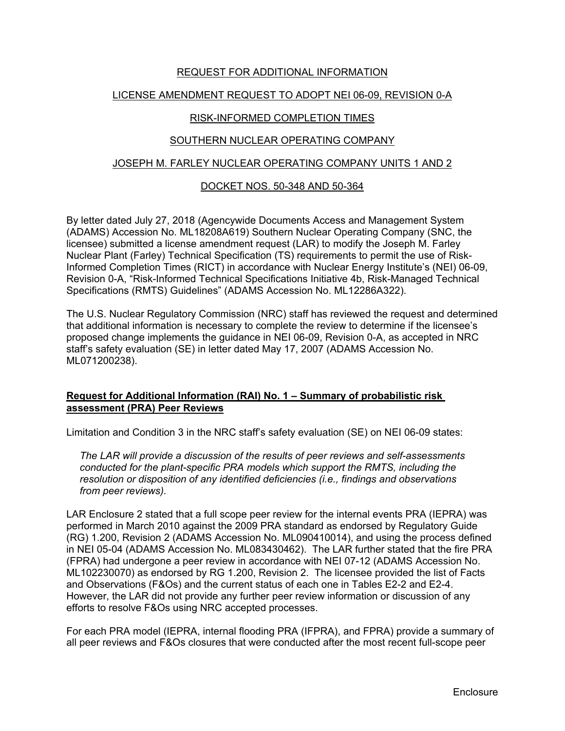# REQUEST FOR ADDITIONAL INFORMATION

### LICENSE AMENDMENT REQUEST TO ADOPT NEI 06-09, REVISION 0-A

#### RISK-INFORMED COMPLETION TIMES

### SOUTHERN NUCLEAR OPERATING COMPANY

#### JOSEPH M. FARLEY NUCLEAR OPERATING COMPANY UNITS 1 AND 2

### DOCKET NOS. 50-348 AND 50-364

By letter dated July 27, 2018 (Agencywide Documents Access and Management System (ADAMS) Accession No. ML18208A619) Southern Nuclear Operating Company (SNC, the licensee) submitted a license amendment request (LAR) to modify the Joseph M. Farley Nuclear Plant (Farley) Technical Specification (TS) requirements to permit the use of Risk-Informed Completion Times (RICT) in accordance with Nuclear Energy Institute's (NEI) 06-09, Revision 0-A, "Risk-Informed Technical Specifications Initiative 4b, Risk-Managed Technical Specifications (RMTS) Guidelines" (ADAMS Accession No. ML12286A322).

The U.S. Nuclear Regulatory Commission (NRC) staff has reviewed the request and determined that additional information is necessary to complete the review to determine if the licensee's proposed change implements the guidance in NEI 06-09, Revision 0-A, as accepted in NRC staff's safety evaluation (SE) in letter dated May 17, 2007 (ADAMS Accession No. ML071200238).

# **Request for Additional Information (RAI) No. 1 – Summary of probabilistic risk assessment (PRA) Peer Reviews**

Limitation and Condition 3 in the NRC staff's safety evaluation (SE) on NEI 06-09 states:

*The LAR will provide a discussion of the results of peer reviews and self-assessments conducted for the plant-specific PRA models which support the RMTS, including the resolution or disposition of any identified deficiencies (i.e., findings and observations from peer reviews).* 

LAR Enclosure 2 stated that a full scope peer review for the internal events PRA (IEPRA) was performed in March 2010 against the 2009 PRA standard as endorsed by Regulatory Guide (RG) 1.200, Revision 2 (ADAMS Accession No. ML090410014), and using the process defined in NEI 05-04 (ADAMS Accession No. ML083430462). The LAR further stated that the fire PRA (FPRA) had undergone a peer review in accordance with NEI 07-12 (ADAMS Accession No. ML102230070) as endorsed by RG 1.200, Revision 2. The licensee provided the list of Facts and Observations (F&Os) and the current status of each one in Tables E2-2 and E2-4. However, the LAR did not provide any further peer review information or discussion of any efforts to resolve F&Os using NRC accepted processes.

For each PRA model (IEPRA, internal flooding PRA (IFPRA), and FPRA) provide a summary of all peer reviews and F&Os closures that were conducted after the most recent full-scope peer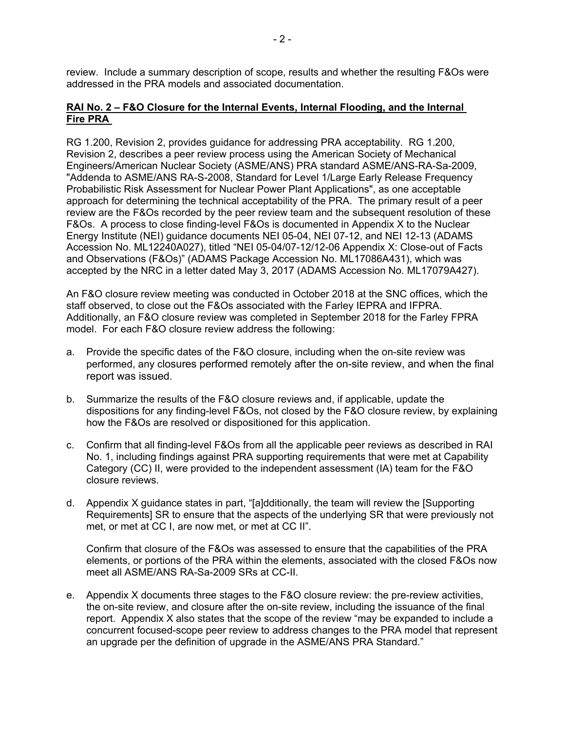review. Include a summary description of scope, results and whether the resulting F&Os were addressed in the PRA models and associated documentation.

# **RAI No. 2 – F&O Closure for the Internal Events, Internal Flooding, and the Internal Fire PRA**

RG 1.200, Revision 2, provides guidance for addressing PRA acceptability. RG 1.200, Revision 2, describes a peer review process using the American Society of Mechanical Engineers/American Nuclear Society (ASME/ANS) PRA standard ASME/ANS-RA-Sa-2009, "Addenda to ASME/ANS RA-S-2008, Standard for Level 1/Large Early Release Frequency Probabilistic Risk Assessment for Nuclear Power Plant Applications", as one acceptable approach for determining the technical acceptability of the PRA. The primary result of a peer review are the F&Os recorded by the peer review team and the subsequent resolution of these F&Os. A process to close finding-level F&Os is documented in Appendix X to the Nuclear Energy Institute (NEI) guidance documents NEI 05-04, NEI 07-12, and NEI 12-13 (ADAMS Accession No. ML12240A027), titled "NEI 05-04/07-12/12-06 Appendix X: Close-out of Facts and Observations (F&Os)" (ADAMS Package Accession No. ML17086A431), which was accepted by the NRC in a letter dated May 3, 2017 (ADAMS Accession No. ML17079A427).

An F&O closure review meeting was conducted in October 2018 at the SNC offices, which the staff observed, to close out the F&Os associated with the Farley IEPRA and IFPRA. Additionally, an F&O closure review was completed in September 2018 for the Farley FPRA model. For each F&O closure review address the following:

- a. Provide the specific dates of the F&O closure, including when the on-site review was performed, any closures performed remotely after the on-site review, and when the final report was issued.
- b. Summarize the results of the F&O closure reviews and, if applicable, update the dispositions for any finding-level F&Os, not closed by the F&O closure review, by explaining how the F&Os are resolved or dispositioned for this application.
- c. Confirm that all finding-level F&Os from all the applicable peer reviews as described in RAI No. 1, including findings against PRA supporting requirements that were met at Capability Category (CC) II, were provided to the independent assessment (IA) team for the F&O closure reviews.
- d. Appendix X guidance states in part, "[a]dditionally, the team will review the [Supporting Requirements] SR to ensure that the aspects of the underlying SR that were previously not met, or met at CC I, are now met, or met at CC II".

Confirm that closure of the F&Os was assessed to ensure that the capabilities of the PRA elements, or portions of the PRA within the elements, associated with the closed F&Os now meet all ASME/ANS RA-Sa-2009 SRs at CC-II.

e. Appendix X documents three stages to the F&O closure review: the pre-review activities, the on-site review, and closure after the on-site review, including the issuance of the final report. Appendix X also states that the scope of the review "may be expanded to include a concurrent focused-scope peer review to address changes to the PRA model that represent an upgrade per the definition of upgrade in the ASME/ANS PRA Standard."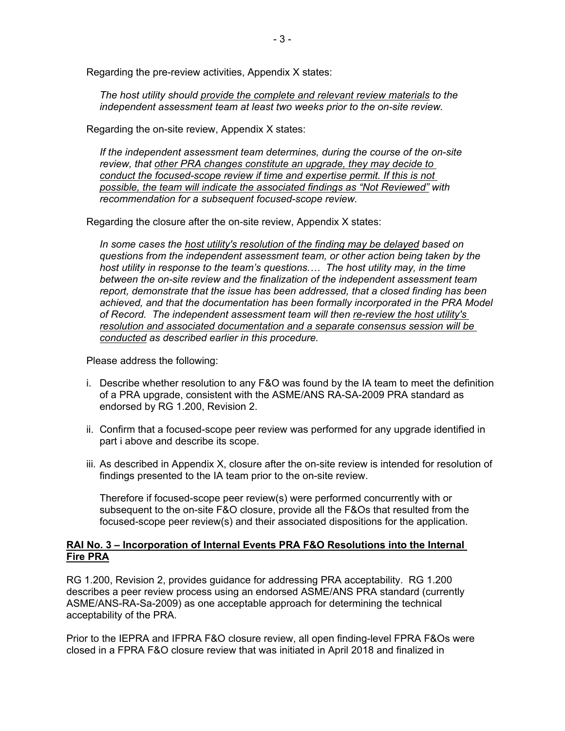Regarding the pre-review activities, Appendix X states:

*The host utility should provide the complete and relevant review materials to the independent assessment team at least two weeks prior to the on-site review.* 

Regarding the on-site review, Appendix X states:

*If the independent assessment team determines, during the course of the on-site review, that other PRA changes constitute an upgrade, they may decide to conduct the focused-scope review if time and expertise permit. If this is not possible, the team will indicate the associated findings as "Not Reviewed" with recommendation for a subsequent focused-scope review.* 

Regarding the closure after the on-site review, Appendix X states:

*In some cases the host utility's resolution of the finding may be delayed based on questions from the independent assessment team, or other action being taken by the host utility in response to the team's questions....* The host utility may, in the time *between the on-site review and the finalization of the independent assessment team report, demonstrate that the issue has been addressed, that a closed finding has been*  achieved, and that the documentation has been formally incorporated in the PRA Model *of Record. The independent assessment team will then re-review the host utility's resolution and associated documentation and a separate consensus session will be conducted as described earlier in this procedure.* 

Please address the following:

- i. Describe whether resolution to any F&O was found by the IA team to meet the definition of a PRA upgrade, consistent with the ASME/ANS RA-SA-2009 PRA standard as endorsed by RG 1.200, Revision 2.
- ii. Confirm that a focused-scope peer review was performed for any upgrade identified in part i above and describe its scope.
- iii. As described in Appendix X, closure after the on-site review is intended for resolution of findings presented to the IA team prior to the on-site review.

Therefore if focused-scope peer review(s) were performed concurrently with or subsequent to the on-site F&O closure, provide all the F&Os that resulted from the focused-scope peer review(s) and their associated dispositions for the application.

### **RAI No. 3 – Incorporation of Internal Events PRA F&O Resolutions into the Internal Fire PRA**

RG 1.200, Revision 2, provides guidance for addressing PRA acceptability. RG 1.200 describes a peer review process using an endorsed ASME/ANS PRA standard (currently ASME/ANS-RA-Sa-2009) as one acceptable approach for determining the technical acceptability of the PRA.

Prior to the IEPRA and IFPRA F&O closure review, all open finding-level FPRA F&Os were closed in a FPRA F&O closure review that was initiated in April 2018 and finalized in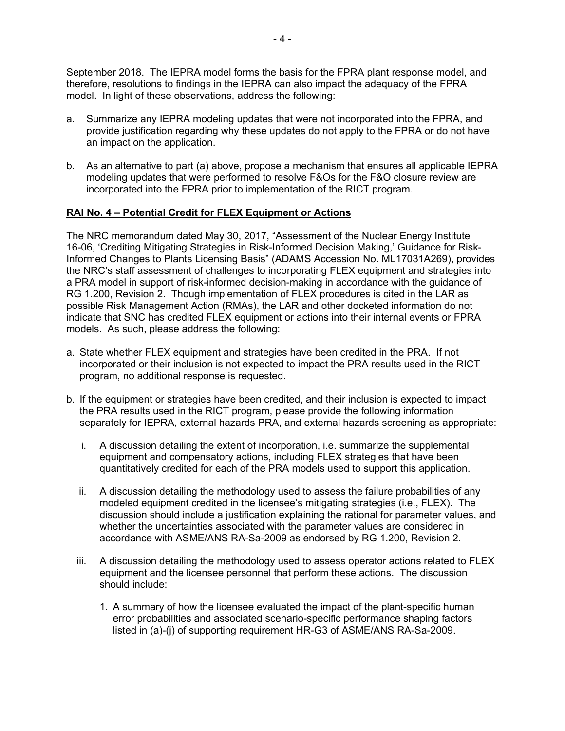September 2018. The IEPRA model forms the basis for the FPRA plant response model, and therefore, resolutions to findings in the IEPRA can also impact the adequacy of the FPRA model. In light of these observations, address the following:

- a. Summarize any IEPRA modeling updates that were not incorporated into the FPRA, and provide justification regarding why these updates do not apply to the FPRA or do not have an impact on the application.
- b. As an alternative to part (a) above, propose a mechanism that ensures all applicable IEPRA modeling updates that were performed to resolve F&Os for the F&O closure review are incorporated into the FPRA prior to implementation of the RICT program.

# **RAI No. 4 – Potential Credit for FLEX Equipment or Actions**

The NRC memorandum dated May 30, 2017, "Assessment of the Nuclear Energy Institute 16-06, 'Crediting Mitigating Strategies in Risk-Informed Decision Making,' Guidance for Risk-Informed Changes to Plants Licensing Basis" (ADAMS Accession No. ML17031A269), provides the NRC's staff assessment of challenges to incorporating FLEX equipment and strategies into a PRA model in support of risk-informed decision-making in accordance with the guidance of RG 1.200, Revision 2. Though implementation of FLEX procedures is cited in the LAR as possible Risk Management Action (RMAs), the LAR and other docketed information do not indicate that SNC has credited FLEX equipment or actions into their internal events or FPRA models. As such, please address the following:

- a. State whether FLEX equipment and strategies have been credited in the PRA. If not incorporated or their inclusion is not expected to impact the PRA results used in the RICT program, no additional response is requested.
- b. If the equipment or strategies have been credited, and their inclusion is expected to impact the PRA results used in the RICT program, please provide the following information separately for IEPRA, external hazards PRA, and external hazards screening as appropriate:
	- i. A discussion detailing the extent of incorporation, i.e. summarize the supplemental equipment and compensatory actions, including FLEX strategies that have been quantitatively credited for each of the PRA models used to support this application.
	- ii. A discussion detailing the methodology used to assess the failure probabilities of any modeled equipment credited in the licensee's mitigating strategies (i.e., FLEX). The discussion should include a justification explaining the rational for parameter values, and whether the uncertainties associated with the parameter values are considered in accordance with ASME/ANS RA-Sa-2009 as endorsed by RG 1.200, Revision 2.
	- iii. A discussion detailing the methodology used to assess operator actions related to FLEX equipment and the licensee personnel that perform these actions. The discussion should include:
		- 1. A summary of how the licensee evaluated the impact of the plant-specific human error probabilities and associated scenario-specific performance shaping factors listed in (a)-(j) of supporting requirement HR-G3 of ASME/ANS RA-Sa-2009.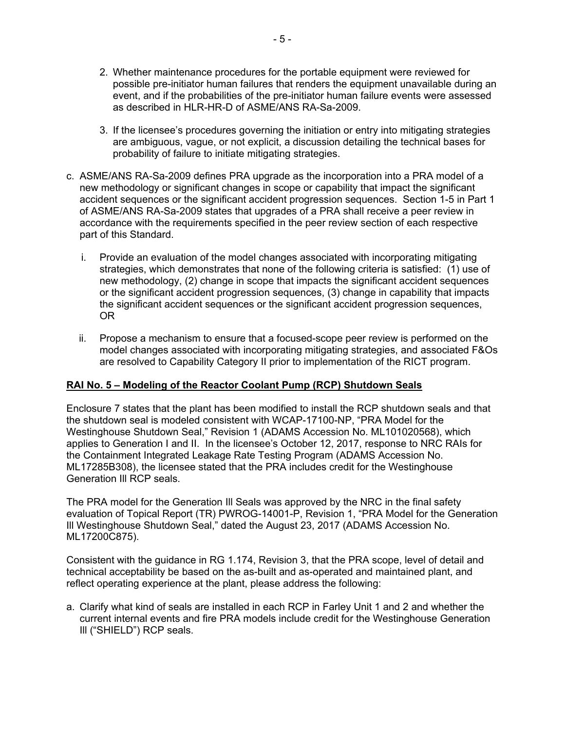- 2. Whether maintenance procedures for the portable equipment were reviewed for possible pre-initiator human failures that renders the equipment unavailable during an event, and if the probabilities of the pre-initiator human failure events were assessed as described in HLR-HR-D of ASME/ANS RA-Sa-2009.
- 3. If the licensee's procedures governing the initiation or entry into mitigating strategies are ambiguous, vague, or not explicit, a discussion detailing the technical bases for probability of failure to initiate mitigating strategies.
- c. ASME/ANS RA-Sa-2009 defines PRA upgrade as the incorporation into a PRA model of a new methodology or significant changes in scope or capability that impact the significant accident sequences or the significant accident progression sequences. Section 1-5 in Part 1 of ASME/ANS RA-Sa-2009 states that upgrades of a PRA shall receive a peer review in accordance with the requirements specified in the peer review section of each respective part of this Standard.
	- i. Provide an evaluation of the model changes associated with incorporating mitigating strategies, which demonstrates that none of the following criteria is satisfied: (1) use of new methodology, (2) change in scope that impacts the significant accident sequences or the significant accident progression sequences, (3) change in capability that impacts the significant accident sequences or the significant accident progression sequences, OR
	- ii. Propose a mechanism to ensure that a focused-scope peer review is performed on the model changes associated with incorporating mitigating strategies, and associated F&Os are resolved to Capability Category II prior to implementation of the RICT program.

# **RAI No. 5 – Modeling of the Reactor Coolant Pump (RCP) Shutdown Seals**

Enclosure 7 states that the plant has been modified to install the RCP shutdown seals and that the shutdown seal is modeled consistent with WCAP-17100-NP, "PRA Model for the Westinghouse Shutdown Seal," Revision 1 (ADAMS Accession No. ML101020568), which applies to Generation I and II. In the licensee's October 12, 2017, response to NRC RAIs for the Containment Integrated Leakage Rate Testing Program (ADAMS Accession No. ML17285B308), the licensee stated that the PRA includes credit for the Westinghouse Generation Ill RCP seals.

The PRA model for the Generation Ill Seals was approved by the NRC in the final safety evaluation of Topical Report (TR) PWROG-14001-P, Revision 1, "PRA Model for the Generation Ill Westinghouse Shutdown Seal," dated the August 23, 2017 (ADAMS Accession No. ML17200C875).

Consistent with the guidance in RG 1.174, Revision 3, that the PRA scope, level of detail and technical acceptability be based on the as-built and as-operated and maintained plant, and reflect operating experience at the plant, please address the following:

a. Clarify what kind of seals are installed in each RCP in Farley Unit 1 and 2 and whether the current internal events and fire PRA models include credit for the Westinghouse Generation Ill ("SHIELD") RCP seals.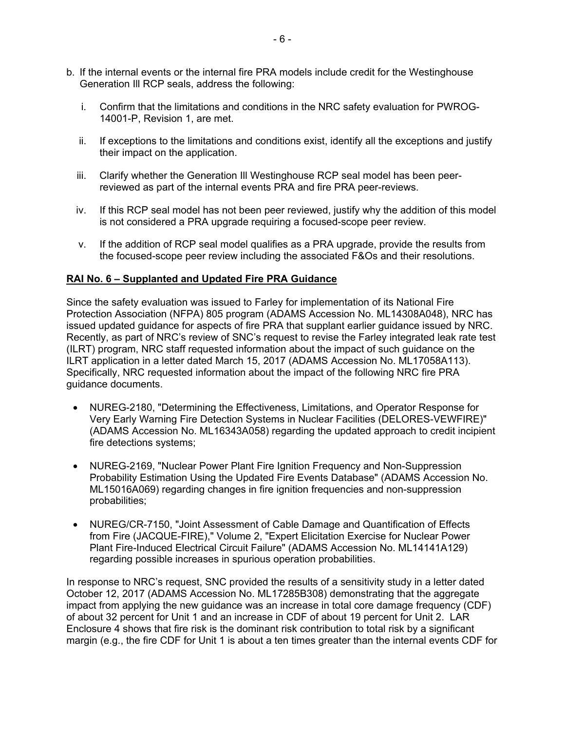- b. If the internal events or the internal fire PRA models include credit for the Westinghouse Generation Ill RCP seals, address the following:
	- i. Confirm that the limitations and conditions in the NRC safety evaluation for PWROG-14001-P, Revision 1, are met.
	- ii. If exceptions to the limitations and conditions exist, identify all the exceptions and justify their impact on the application.
	- iii. Clarify whether the Generation Ill Westinghouse RCP seal model has been peerreviewed as part of the internal events PRA and fire PRA peer-reviews.
	- iv. If this RCP seal model has not been peer reviewed, justify why the addition of this model is not considered a PRA upgrade requiring a focused-scope peer review.
	- v. If the addition of RCP seal model qualifies as a PRA upgrade, provide the results from the focused-scope peer review including the associated F&Os and their resolutions.

### **RAI No. 6 – Supplanted and Updated Fire PRA Guidance**

Since the safety evaluation was issued to Farley for implementation of its National Fire Protection Association (NFPA) 805 program (ADAMS Accession No. ML14308A048), NRC has issued updated guidance for aspects of fire PRA that supplant earlier guidance issued by NRC. Recently, as part of NRC's review of SNC's request to revise the Farley integrated leak rate test (ILRT) program, NRC staff requested information about the impact of such guidance on the ILRT application in a letter dated March 15, 2017 (ADAMS Accession No. ML17058A113). Specifically, NRC requested information about the impact of the following NRC fire PRA guidance documents.

- NUREG-2180, "Determining the Effectiveness, Limitations, and Operator Response for Very Early Warning Fire Detection Systems in Nuclear Facilities (DELORES-VEWFIRE)" (ADAMS Accession No. ML16343A058) regarding the updated approach to credit incipient fire detections systems;
- NUREG-2169, "Nuclear Power Plant Fire Ignition Frequency and Non-Suppression Probability Estimation Using the Updated Fire Events Database" (ADAMS Accession No. ML15016A069) regarding changes in fire ignition frequencies and non-suppression probabilities;
- NUREG/CR-7150, "Joint Assessment of Cable Damage and Quantification of Effects from Fire (JACQUE-FIRE)," Volume 2, "Expert Elicitation Exercise for Nuclear Power Plant Fire-Induced Electrical Circuit Failure" (ADAMS Accession No. ML14141A129) regarding possible increases in spurious operation probabilities.

In response to NRC's request, SNC provided the results of a sensitivity study in a letter dated October 12, 2017 (ADAMS Accession No. ML17285B308) demonstrating that the aggregate impact from applying the new guidance was an increase in total core damage frequency (CDF) of about 32 percent for Unit 1 and an increase in CDF of about 19 percent for Unit 2. LAR Enclosure 4 shows that fire risk is the dominant risk contribution to total risk by a significant margin (e.g., the fire CDF for Unit 1 is about a ten times greater than the internal events CDF for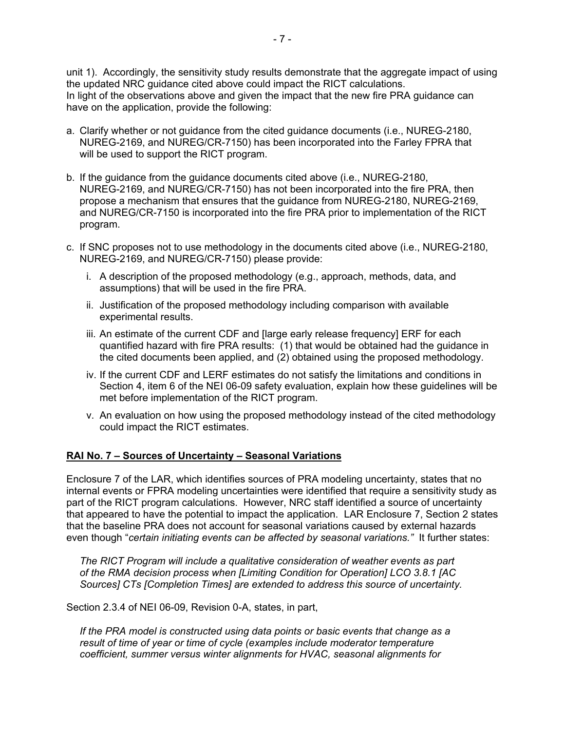unit 1). Accordingly, the sensitivity study results demonstrate that the aggregate impact of using the updated NRC guidance cited above could impact the RICT calculations. In light of the observations above and given the impact that the new fire PRA guidance can have on the application, provide the following:

- a. Clarify whether or not guidance from the cited guidance documents (i.e., NUREG-2180, NUREG-2169, and NUREG/CR-7150) has been incorporated into the Farley FPRA that will be used to support the RICT program.
- b. If the guidance from the guidance documents cited above (i.e., NUREG-2180, NUREG-2169, and NUREG/CR-7150) has not been incorporated into the fire PRA, then propose a mechanism that ensures that the guidance from NUREG-2180, NUREG-2169, and NUREG/CR-7150 is incorporated into the fire PRA prior to implementation of the RICT program.
- c. If SNC proposes not to use methodology in the documents cited above (i.e., NUREG-2180, NUREG-2169, and NUREG/CR-7150) please provide:
	- i. A description of the proposed methodology (e.g., approach, methods, data, and assumptions) that will be used in the fire PRA.
	- ii. Justification of the proposed methodology including comparison with available experimental results.
	- iii. An estimate of the current CDF and [large early release frequency] ERF for each quantified hazard with fire PRA results: (1) that would be obtained had the guidance in the cited documents been applied, and (2) obtained using the proposed methodology.
	- iv. If the current CDF and LERF estimates do not satisfy the limitations and conditions in Section 4, item 6 of the NEI 06-09 safety evaluation, explain how these guidelines will be met before implementation of the RICT program.
	- v. An evaluation on how using the proposed methodology instead of the cited methodology could impact the RICT estimates.

# **RAI No. 7 – Sources of Uncertainty – Seasonal Variations**

Enclosure 7 of the LAR, which identifies sources of PRA modeling uncertainty, states that no internal events or FPRA modeling uncertainties were identified that require a sensitivity study as part of the RICT program calculations. However, NRC staff identified a source of uncertainty that appeared to have the potential to impact the application. LAR Enclosure 7, Section 2 states that the baseline PRA does not account for seasonal variations caused by external hazards even though "*certain initiating events can be affected by seasonal variations."* It further states:

*The RICT Program will include a qualitative consideration of weather events as part of the RMA decision process when [Limiting Condition for Operation] LCO 3.8.1 [AC Sources] CTs [Completion Times] are extended to address this source of uncertainty.* 

Section 2.3.4 of NEI 06-09, Revision 0-A, states, in part,

*If the PRA model is constructed using data points or basic events that change as a result of time of year or time of cycle (examples include moderator temperature coefficient, summer versus winter alignments for HVAC, seasonal alignments for*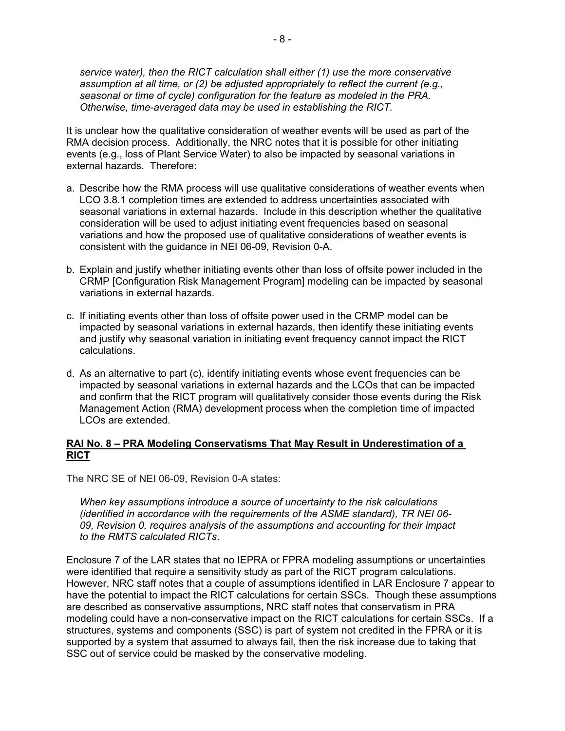*service water), then the RICT calculation shall either (1) use the more conservative assumption at all time, or (2) be adjusted appropriately to reflect the current (e.g., seasonal or time of cycle) configuration for the feature as modeled in the PRA. Otherwise, time-averaged data may be used in establishing the RICT.*

It is unclear how the qualitative consideration of weather events will be used as part of the RMA decision process. Additionally, the NRC notes that it is possible for other initiating events (e.g., loss of Plant Service Water) to also be impacted by seasonal variations in external hazards. Therefore:

- a. Describe how the RMA process will use qualitative considerations of weather events when LCO 3.8.1 completion times are extended to address uncertainties associated with seasonal variations in external hazards. Include in this description whether the qualitative consideration will be used to adjust initiating event frequencies based on seasonal variations and how the proposed use of qualitative considerations of weather events is consistent with the guidance in NEI 06-09, Revision 0-A.
- b. Explain and justify whether initiating events other than loss of offsite power included in the CRMP [Configuration Risk Management Program] modeling can be impacted by seasonal variations in external hazards.
- c. If initiating events other than loss of offsite power used in the CRMP model can be impacted by seasonal variations in external hazards, then identify these initiating events and justify why seasonal variation in initiating event frequency cannot impact the RICT calculations.
- d. As an alternative to part (c), identify initiating events whose event frequencies can be impacted by seasonal variations in external hazards and the LCOs that can be impacted and confirm that the RICT program will qualitatively consider those events during the Risk Management Action (RMA) development process when the completion time of impacted LCOs are extended.

### **RAI No. 8 – PRA Modeling Conservatisms That May Result in Underestimation of a RICT**

The NRC SE of NEI 06-09, Revision 0-A states:

*When key assumptions introduce a source of uncertainty to the risk calculations (identified in accordance with the requirements of the ASME standard), TR NEI 06- 09, Revision 0, requires analysis of the assumptions and accounting for their impact to the RMTS calculated RICTs*.

Enclosure 7 of the LAR states that no IEPRA or FPRA modeling assumptions or uncertainties were identified that require a sensitivity study as part of the RICT program calculations. However, NRC staff notes that a couple of assumptions identified in LAR Enclosure 7 appear to have the potential to impact the RICT calculations for certain SSCs. Though these assumptions are described as conservative assumptions, NRC staff notes that conservatism in PRA modeling could have a non-conservative impact on the RICT calculations for certain SSCs. If a structures, systems and components (SSC) is part of system not credited in the FPRA or it is supported by a system that assumed to always fail, then the risk increase due to taking that SSC out of service could be masked by the conservative modeling.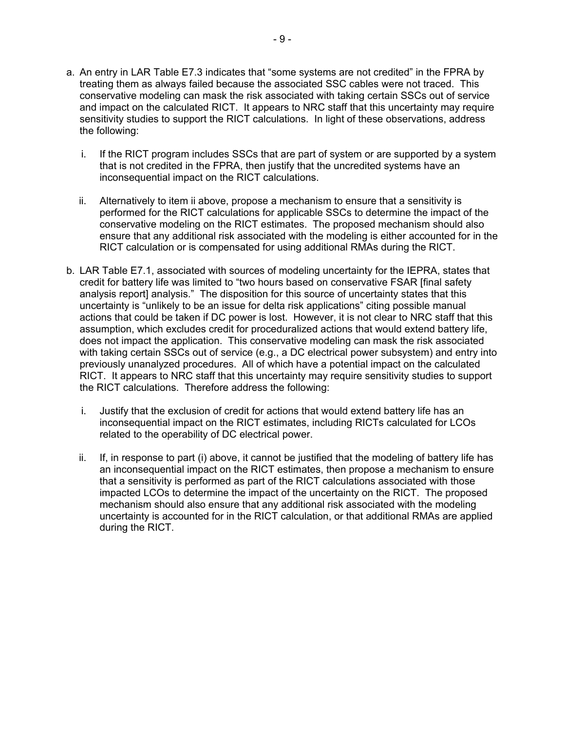- a. An entry in LAR Table E7.3 indicates that "some systems are not credited" in the FPRA by treating them as always failed because the associated SSC cables were not traced. This conservative modeling can mask the risk associated with taking certain SSCs out of service and impact on the calculated RICT. It appears to NRC staff that this uncertainty may require sensitivity studies to support the RICT calculations. In light of these observations, address the following:
	- i. If the RICT program includes SSCs that are part of system or are supported by a system that is not credited in the FPRA, then justify that the uncredited systems have an inconsequential impact on the RICT calculations.
	- ii. Alternatively to item ii above, propose a mechanism to ensure that a sensitivity is performed for the RICT calculations for applicable SSCs to determine the impact of the conservative modeling on the RICT estimates. The proposed mechanism should also ensure that any additional risk associated with the modeling is either accounted for in the RICT calculation or is compensated for using additional RMAs during the RICT.
- b. LAR Table E7.1, associated with sources of modeling uncertainty for the IEPRA, states that credit for battery life was limited to "two hours based on conservative FSAR [final safety analysis report] analysis." The disposition for this source of uncertainty states that this uncertainty is "unlikely to be an issue for delta risk applications" citing possible manual actions that could be taken if DC power is lost. However, it is not clear to NRC staff that this assumption, which excludes credit for proceduralized actions that would extend battery life, does not impact the application. This conservative modeling can mask the risk associated with taking certain SSCs out of service (e.g., a DC electrical power subsystem) and entry into previously unanalyzed procedures. All of which have a potential impact on the calculated RICT. It appears to NRC staff that this uncertainty may require sensitivity studies to support the RICT calculations. Therefore address the following:
	- i. Justify that the exclusion of credit for actions that would extend battery life has an inconsequential impact on the RICT estimates, including RICTs calculated for LCOs related to the operability of DC electrical power.
	- ii. If, in response to part (i) above, it cannot be justified that the modeling of battery life has an inconsequential impact on the RICT estimates, then propose a mechanism to ensure that a sensitivity is performed as part of the RICT calculations associated with those impacted LCOs to determine the impact of the uncertainty on the RICT. The proposed mechanism should also ensure that any additional risk associated with the modeling uncertainty is accounted for in the RICT calculation, or that additional RMAs are applied during the RICT.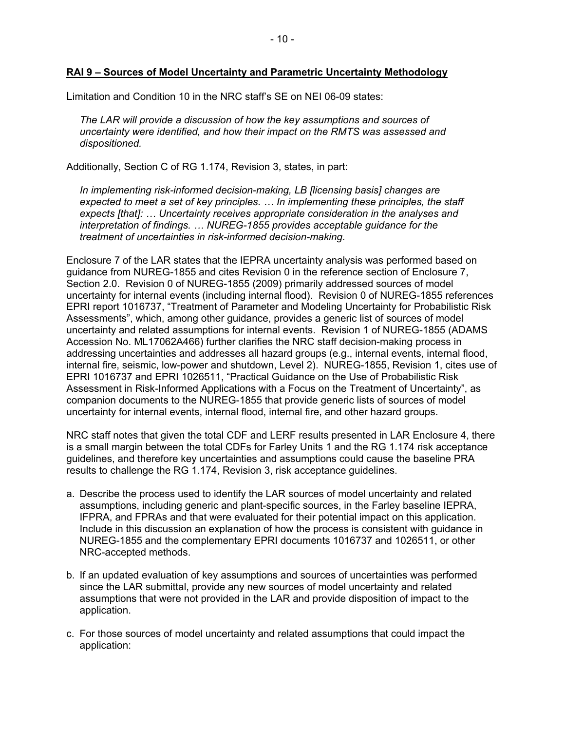Limitation and Condition 10 in the NRC staff's SE on NEI 06-09 states:

*The LAR will provide a discussion of how the key assumptions and sources of uncertainty were identified, and how their impact on the RMTS was assessed and dispositioned.* 

Additionally, Section C of RG 1.174, Revision 3, states, in part:

*In implementing risk-informed decision-making, LB [licensing basis] changes are expected to meet a set of key principles. … In implementing these principles, the staff expects [that]: … Uncertainty receives appropriate consideration in the analyses and interpretation of findings. … NUREG-1855 provides acceptable guidance for the treatment of uncertainties in risk-informed decision-making.* 

Enclosure 7 of the LAR states that the IEPRA uncertainty analysis was performed based on guidance from NUREG-1855 and cites Revision 0 in the reference section of Enclosure 7, Section 2.0. Revision 0 of NUREG-1855 (2009) primarily addressed sources of model uncertainty for internal events (including internal flood). Revision 0 of NUREG-1855 references EPRI report 1016737, "Treatment of Parameter and Modeling Uncertainty for Probabilistic Risk Assessments", which, among other guidance, provides a generic list of sources of model uncertainty and related assumptions for internal events. Revision 1 of NUREG-1855 (ADAMS Accession No. ML17062A466) further clarifies the NRC staff decision-making process in addressing uncertainties and addresses all hazard groups (e.g., internal events, internal flood, internal fire, seismic, low-power and shutdown, Level 2). NUREG-1855, Revision 1, cites use of EPRI 1016737 and EPRI 1026511, "Practical Guidance on the Use of Probabilistic Risk Assessment in Risk-Informed Applications with a Focus on the Treatment of Uncertainty", as companion documents to the NUREG-1855 that provide generic lists of sources of model uncertainty for internal events, internal flood, internal fire, and other hazard groups.

NRC staff notes that given the total CDF and LERF results presented in LAR Enclosure 4, there is a small margin between the total CDFs for Farley Units 1 and the RG 1.174 risk acceptance guidelines, and therefore key uncertainties and assumptions could cause the baseline PRA results to challenge the RG 1.174, Revision 3, risk acceptance guidelines.

- a. Describe the process used to identify the LAR sources of model uncertainty and related assumptions, including generic and plant-specific sources, in the Farley baseline IEPRA, IFPRA, and FPRAs and that were evaluated for their potential impact on this application. Include in this discussion an explanation of how the process is consistent with guidance in NUREG-1855 and the complementary EPRI documents 1016737 and 1026511, or other NRC-accepted methods.
- b. If an updated evaluation of key assumptions and sources of uncertainties was performed since the LAR submittal, provide any new sources of model uncertainty and related assumptions that were not provided in the LAR and provide disposition of impact to the application.
- c. For those sources of model uncertainty and related assumptions that could impact the application: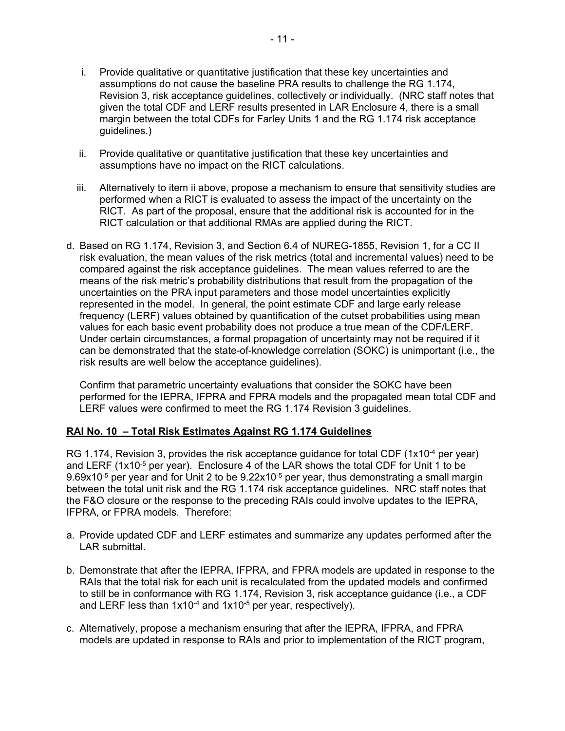- i. Provide qualitative or quantitative justification that these key uncertainties and assumptions do not cause the baseline PRA results to challenge the RG 1.174, Revision 3, risk acceptance guidelines, collectively or individually. (NRC staff notes that given the total CDF and LERF results presented in LAR Enclosure 4, there is a small margin between the total CDFs for Farley Units 1 and the RG 1.174 risk acceptance guidelines.)
- ii. Provide qualitative or quantitative justification that these key uncertainties and assumptions have no impact on the RICT calculations.
- iii. Alternatively to item ii above, propose a mechanism to ensure that sensitivity studies are performed when a RICT is evaluated to assess the impact of the uncertainty on the RICT. As part of the proposal, ensure that the additional risk is accounted for in the RICT calculation or that additional RMAs are applied during the RICT.
- d. Based on RG 1.174, Revision 3, and Section 6.4 of NUREG-1855, Revision 1, for a CC II risk evaluation, the mean values of the risk metrics (total and incremental values) need to be compared against the risk acceptance guidelines. The mean values referred to are the means of the risk metric's probability distributions that result from the propagation of the uncertainties on the PRA input parameters and those model uncertainties explicitly represented in the model. In general, the point estimate CDF and large early release frequency (LERF) values obtained by quantification of the cutset probabilities using mean values for each basic event probability does not produce a true mean of the CDF/LERF. Under certain circumstances, a formal propagation of uncertainty may not be required if it can be demonstrated that the state-of-knowledge correlation (SOKC) is unimportant (i.e., the risk results are well below the acceptance guidelines).

Confirm that parametric uncertainty evaluations that consider the SOKC have been performed for the IEPRA, IFPRA and FPRA models and the propagated mean total CDF and LERF values were confirmed to meet the RG 1.174 Revision 3 guidelines.

# **RAI No. 10 – Total Risk Estimates Against RG 1.174 Guidelines**

RG 1.174, Revision 3, provides the risk acceptance quidance for total CDF (1x10<sup>-4</sup> per year) and LERF ( $1x10^{-5}$  per year). Enclosure 4 of the LAR shows the total CDF for Unit 1 to be 9.69x10-5 per year and for Unit 2 to be 9.22x10-5 per year, thus demonstrating a small margin between the total unit risk and the RG 1.174 risk acceptance guidelines. NRC staff notes that the F&O closure or the response to the preceding RAIs could involve updates to the IEPRA, IFPRA, or FPRA models. Therefore:

- a. Provide updated CDF and LERF estimates and summarize any updates performed after the LAR submittal.
- b. Demonstrate that after the IEPRA, IFPRA, and FPRA models are updated in response to the RAIs that the total risk for each unit is recalculated from the updated models and confirmed to still be in conformance with RG 1.174, Revision 3, risk acceptance guidance (i.e., a CDF and LERF less than  $1x10^{-4}$  and  $1x10^{-5}$  per year, respectively).
- c. Alternatively, propose a mechanism ensuring that after the IEPRA, IFPRA, and FPRA models are updated in response to RAIs and prior to implementation of the RICT program,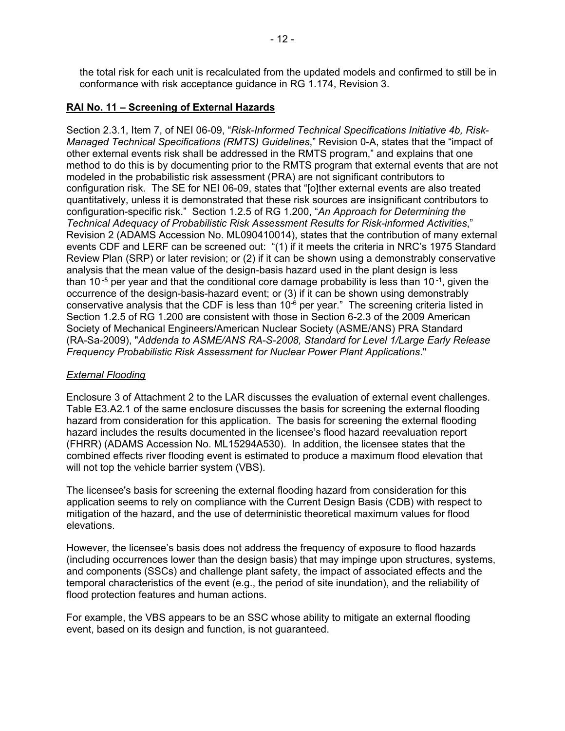the total risk for each unit is recalculated from the updated models and confirmed to still be in conformance with risk acceptance guidance in RG 1.174, Revision 3.

# **RAI No. 11 – Screening of External Hazards**

Section 2.3.1, Item 7, of NEI 06-09, "*Risk-Informed Technical Specifications Initiative 4b, Risk-Managed Technical Specifications (RMTS) Guidelines*," Revision 0-A, states that the "impact of other external events risk shall be addressed in the RMTS program," and explains that one method to do this is by documenting prior to the RMTS program that external events that are not modeled in the probabilistic risk assessment (PRA) are not significant contributors to configuration risk. The SE for NEI 06-09, states that "[o]ther external events are also treated quantitatively, unless it is demonstrated that these risk sources are insignificant contributors to configuration-specific risk." Section 1.2.5 of RG 1.200, "*An Approach for Determining the Technical Adequacy of Probabilistic Risk Assessment Results for Risk-informed Activities*," Revision 2 (ADAMS Accession No. ML090410014), states that the contribution of many external events CDF and LERF can be screened out: "(1) if it meets the criteria in NRC's 1975 Standard Review Plan (SRP) or later revision; or (2) if it can be shown using a demonstrably conservative analysis that the mean value of the design-basis hazard used in the plant design is less than 10<sup>-5</sup> per year and that the conditional core damage probability is less than 10<sup>-1</sup>, given the occurrence of the design-basis-hazard event; or (3) if it can be shown using demonstrably conservative analysis that the CDF is less than  $10^{-6}$  per year." The screening criteria listed in Section 1.2.5 of RG 1.200 are consistent with those in Section 6-2.3 of the 2009 American Society of Mechanical Engineers/American Nuclear Society (ASME/ANS) PRA Standard (RA-Sa-2009), "*Addenda to ASME/ANS RA-S-2008, Standard for Level 1/Large Early Release Frequency Probabilistic Risk Assessment for Nuclear Power Plant Applications*."

#### *External Flooding*

Enclosure 3 of Attachment 2 to the LAR discusses the evaluation of external event challenges. Table E3.A2.1 of the same enclosure discusses the basis for screening the external flooding hazard from consideration for this application. The basis for screening the external flooding hazard includes the results documented in the licensee's flood hazard reevaluation report (FHRR) (ADAMS Accession No. ML15294A530). In addition, the licensee states that the combined effects river flooding event is estimated to produce a maximum flood elevation that will not top the vehicle barrier system (VBS).

The licensee's basis for screening the external flooding hazard from consideration for this application seems to rely on compliance with the Current Design Basis (CDB) with respect to mitigation of the hazard, and the use of deterministic theoretical maximum values for flood elevations.

However, the licensee's basis does not address the frequency of exposure to flood hazards (including occurrences lower than the design basis) that may impinge upon structures, systems, and components (SSCs) and challenge plant safety, the impact of associated effects and the temporal characteristics of the event (e.g., the period of site inundation), and the reliability of flood protection features and human actions.

For example, the VBS appears to be an SSC whose ability to mitigate an external flooding event, based on its design and function, is not guaranteed.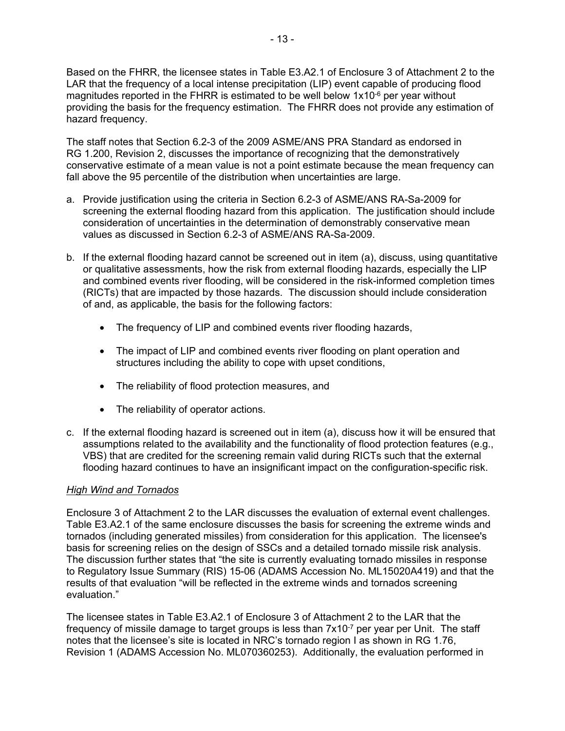Based on the FHRR, the licensee states in Table E3.A2.1 of Enclosure 3 of Attachment 2 to the LAR that the frequency of a local intense precipitation (LIP) event capable of producing flood magnitudes reported in the FHRR is estimated to be well below  $1x10^{-6}$  per year without providing the basis for the frequency estimation. The FHRR does not provide any estimation of hazard frequency.

The staff notes that Section 6.2-3 of the 2009 ASME/ANS PRA Standard as endorsed in RG 1.200, Revision 2, discusses the importance of recognizing that the demonstratively conservative estimate of a mean value is not a point estimate because the mean frequency can fall above the 95 percentile of the distribution when uncertainties are large.

- a. Provide justification using the criteria in Section 6.2-3 of ASME/ANS RA-Sa-2009 for screening the external flooding hazard from this application. The justification should include consideration of uncertainties in the determination of demonstrably conservative mean values as discussed in Section 6.2-3 of ASME/ANS RA-Sa-2009.
- b. If the external flooding hazard cannot be screened out in item (a), discuss, using quantitative or qualitative assessments, how the risk from external flooding hazards, especially the LIP and combined events river flooding, will be considered in the risk-informed completion times (RICTs) that are impacted by those hazards. The discussion should include consideration of and, as applicable, the basis for the following factors:
	- The frequency of LIP and combined events river flooding hazards,
	- The impact of LIP and combined events river flooding on plant operation and structures including the ability to cope with upset conditions,
	- The reliability of flood protection measures, and
	- The reliability of operator actions.
- c. If the external flooding hazard is screened out in item (a), discuss how it will be ensured that assumptions related to the availability and the functionality of flood protection features (e.g., VBS) that are credited for the screening remain valid during RICTs such that the external flooding hazard continues to have an insignificant impact on the configuration-specific risk.

# *High Wind and Tornados*

Enclosure 3 of Attachment 2 to the LAR discusses the evaluation of external event challenges. Table E3.A2.1 of the same enclosure discusses the basis for screening the extreme winds and tornados (including generated missiles) from consideration for this application. The licensee's basis for screening relies on the design of SSCs and a detailed tornado missile risk analysis. The discussion further states that "the site is currently evaluating tornado missiles in response to Regulatory Issue Summary (RIS) 15-06 (ADAMS Accession No. ML15020A419) and that the results of that evaluation "will be reflected in the extreme winds and tornados screening evaluation."

The licensee states in Table E3.A2.1 of Enclosure 3 of Attachment 2 to the LAR that the frequency of missile damage to target groups is less than 7x10<sup>-7</sup> per year per Unit. The staff notes that the licensee's site is located in NRC's tornado region I as shown in RG 1.76, Revision 1 (ADAMS Accession No. ML070360253). Additionally, the evaluation performed in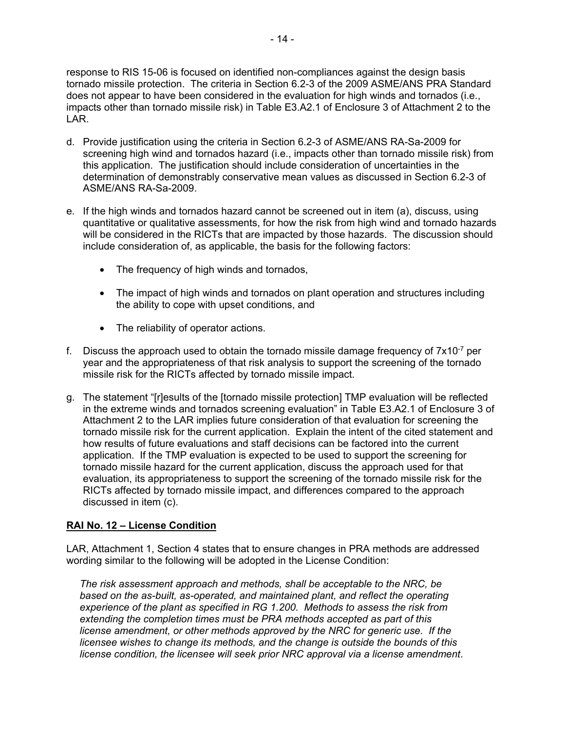response to RIS 15-06 is focused on identified non-compliances against the design basis tornado missile protection. The criteria in Section 6.2-3 of the 2009 ASME/ANS PRA Standard does not appear to have been considered in the evaluation for high winds and tornados (i.e., impacts other than tornado missile risk) in Table E3.A2.1 of Enclosure 3 of Attachment 2 to the LAR.

- d. Provide justification using the criteria in Section 6.2-3 of ASME/ANS RA-Sa-2009 for screening high wind and tornados hazard (i.e., impacts other than tornado missile risk) from this application. The justification should include consideration of uncertainties in the determination of demonstrably conservative mean values as discussed in Section 6.2-3 of ASME/ANS RA-Sa-2009.
- e. If the high winds and tornados hazard cannot be screened out in item (a), discuss, using quantitative or qualitative assessments, for how the risk from high wind and tornado hazards will be considered in the RICTs that are impacted by those hazards. The discussion should include consideration of, as applicable, the basis for the following factors:
	- The frequency of high winds and tornados,
	- The impact of high winds and tornados on plant operation and structures including the ability to cope with upset conditions, and
	- The reliability of operator actions.
- f. Discuss the approach used to obtain the tornado missile damage frequency of  $7 \times 10^{-7}$  per year and the appropriateness of that risk analysis to support the screening of the tornado missile risk for the RICTs affected by tornado missile impact.
- g. The statement "[r]esults of the [tornado missile protection] TMP evaluation will be reflected in the extreme winds and tornados screening evaluation" in Table E3.A2.1 of Enclosure 3 of Attachment 2 to the LAR implies future consideration of that evaluation for screening the tornado missile risk for the current application. Explain the intent of the cited statement and how results of future evaluations and staff decisions can be factored into the current application. If the TMP evaluation is expected to be used to support the screening for tornado missile hazard for the current application, discuss the approach used for that evaluation, its appropriateness to support the screening of the tornado missile risk for the RICTs affected by tornado missile impact, and differences compared to the approach discussed in item (c).

# **RAI No. 12 – License Condition**

LAR, Attachment 1, Section 4 states that to ensure changes in PRA methods are addressed wording similar to the following will be adopted in the License Condition:

*The risk assessment approach and methods, shall be acceptable to the NRC, be based on the as-built, as-operated, and maintained plant, and reflect the operating experience of the plant as specified in RG 1.200. Methods to assess the risk from extending the completion times must be PRA methods accepted as part of this license amendment, or other methods approved by the NRC for generic use. If the licensee wishes to change its methods, and the change is outside the bounds of this license condition, the licensee will seek prior NRC approval via a license amendment*.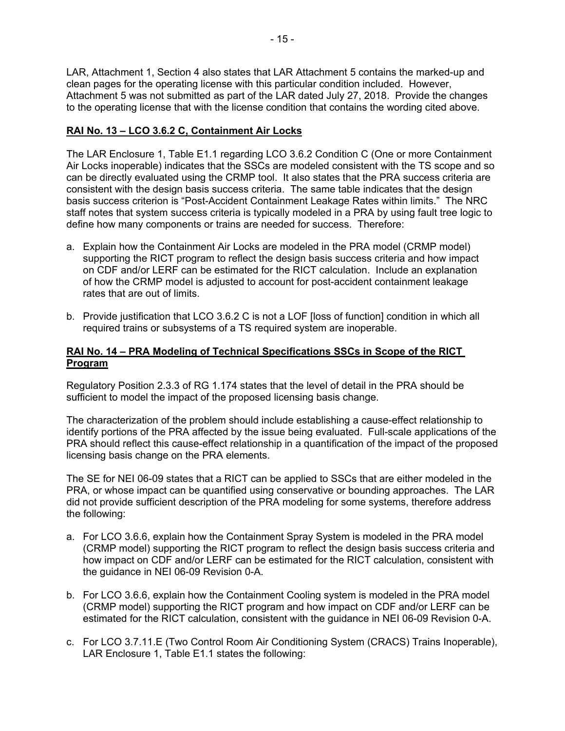LAR, Attachment 1, Section 4 also states that LAR Attachment 5 contains the marked-up and clean pages for the operating license with this particular condition included. However, Attachment 5 was not submitted as part of the LAR dated July 27, 2018. Provide the changes to the operating license that with the license condition that contains the wording cited above.

# **RAI No. 13 – LCO 3.6.2 C, Containment Air Locks**

The LAR Enclosure 1, Table E1.1 regarding LCO 3.6.2 Condition C (One or more Containment Air Locks inoperable) indicates that the SSCs are modeled consistent with the TS scope and so can be directly evaluated using the CRMP tool. It also states that the PRA success criteria are consistent with the design basis success criteria. The same table indicates that the design basis success criterion is "Post-Accident Containment Leakage Rates within limits." The NRC staff notes that system success criteria is typically modeled in a PRA by using fault tree logic to define how many components or trains are needed for success. Therefore:

- a. Explain how the Containment Air Locks are modeled in the PRA model (CRMP model) supporting the RICT program to reflect the design basis success criteria and how impact on CDF and/or LERF can be estimated for the RICT calculation. Include an explanation of how the CRMP model is adjusted to account for post-accident containment leakage rates that are out of limits.
- b. Provide justification that LCO 3.6.2 C is not a LOF [loss of function] condition in which all required trains or subsystems of a TS required system are inoperable.

# **RAI No. 14 – PRA Modeling of Technical Specifications SSCs in Scope of the RICT Program**

Regulatory Position 2.3.3 of RG 1.174 states that the level of detail in the PRA should be sufficient to model the impact of the proposed licensing basis change.

The characterization of the problem should include establishing a cause-effect relationship to identify portions of the PRA affected by the issue being evaluated. Full-scale applications of the PRA should reflect this cause-effect relationship in a quantification of the impact of the proposed licensing basis change on the PRA elements.

The SE for NEI 06-09 states that a RICT can be applied to SSCs that are either modeled in the PRA, or whose impact can be quantified using conservative or bounding approaches. The LAR did not provide sufficient description of the PRA modeling for some systems, therefore address the following:

- a. For LCO 3.6.6, explain how the Containment Spray System is modeled in the PRA model (CRMP model) supporting the RICT program to reflect the design basis success criteria and how impact on CDF and/or LERF can be estimated for the RICT calculation, consistent with the guidance in NEI 06-09 Revision 0-A.
- b. For LCO 3.6.6, explain how the Containment Cooling system is modeled in the PRA model (CRMP model) supporting the RICT program and how impact on CDF and/or LERF can be estimated for the RICT calculation, consistent with the guidance in NEI 06-09 Revision 0-A.
- c. For LCO 3.7.11.E (Two Control Room Air Conditioning System (CRACS) Trains Inoperable), LAR Enclosure 1, Table E1.1 states the following: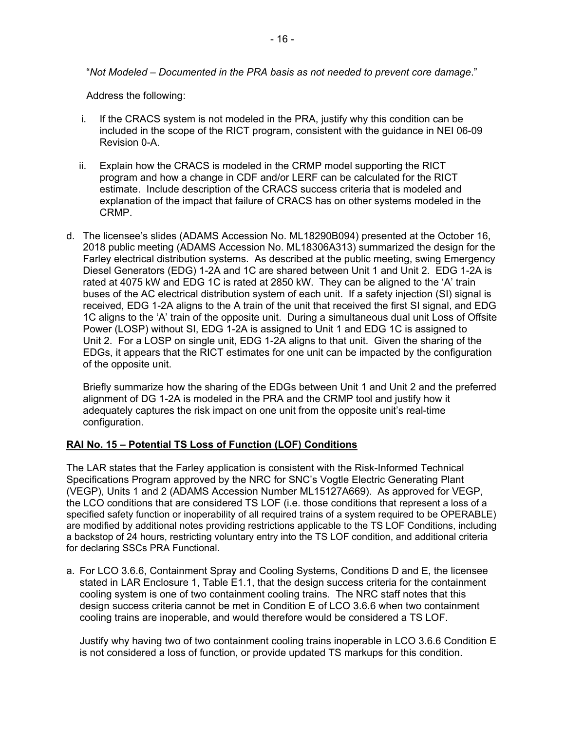"*Not Modeled – Documented in the PRA basis as not needed to prevent core damage*."

Address the following:

- i. If the CRACS system is not modeled in the PRA, justify why this condition can be included in the scope of the RICT program, consistent with the guidance in NEI 06-09 Revision 0-A.
- ii. Explain how the CRACS is modeled in the CRMP model supporting the RICT program and how a change in CDF and/or LERF can be calculated for the RICT estimate. Include description of the CRACS success criteria that is modeled and explanation of the impact that failure of CRACS has on other systems modeled in the CRMP.
- d. The licensee's slides (ADAMS Accession No. ML18290B094) presented at the October 16, 2018 public meeting (ADAMS Accession No. ML18306A313) summarized the design for the Farley electrical distribution systems. As described at the public meeting, swing Emergency Diesel Generators (EDG) 1-2A and 1C are shared between Unit 1 and Unit 2. EDG 1-2A is rated at 4075 kW and EDG 1C is rated at 2850 kW. They can be aligned to the 'A' train buses of the AC electrical distribution system of each unit. If a safety injection (SI) signal is received, EDG 1-2A aligns to the A train of the unit that received the first SI signal, and EDG 1C aligns to the 'A' train of the opposite unit. During a simultaneous dual unit Loss of Offsite Power (LOSP) without SI, EDG 1-2A is assigned to Unit 1 and EDG 1C is assigned to Unit 2. For a LOSP on single unit, EDG 1-2A aligns to that unit. Given the sharing of the EDGs, it appears that the RICT estimates for one unit can be impacted by the configuration of the opposite unit.

Briefly summarize how the sharing of the EDGs between Unit 1 and Unit 2 and the preferred alignment of DG 1-2A is modeled in the PRA and the CRMP tool and justify how it adequately captures the risk impact on one unit from the opposite unit's real-time configuration.

# **RAI No. 15 – Potential TS Loss of Function (LOF) Conditions**

The LAR states that the Farley application is consistent with the Risk-Informed Technical Specifications Program approved by the NRC for SNC's Vogtle Electric Generating Plant (VEGP), Units 1 and 2 (ADAMS Accession Number ML15127A669). As approved for VEGP, the LCO conditions that are considered TS LOF (i.e. those conditions that represent a loss of a specified safety function or inoperability of all required trains of a system required to be OPERABLE) are modified by additional notes providing restrictions applicable to the TS LOF Conditions, including a backstop of 24 hours, restricting voluntary entry into the TS LOF condition, and additional criteria for declaring SSCs PRA Functional.

a. For LCO 3.6.6, Containment Spray and Cooling Systems, Conditions D and E, the licensee stated in LAR Enclosure 1, Table E1.1, that the design success criteria for the containment cooling system is one of two containment cooling trains. The NRC staff notes that this design success criteria cannot be met in Condition E of LCO 3.6.6 when two containment cooling trains are inoperable, and would therefore would be considered a TS LOF.

Justify why having two of two containment cooling trains inoperable in LCO 3.6.6 Condition E is not considered a loss of function, or provide updated TS markups for this condition.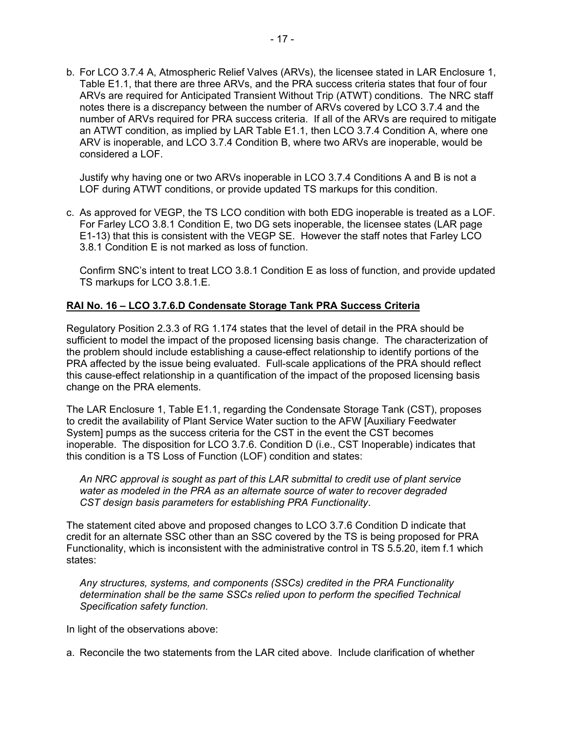b. For LCO 3.7.4 A, Atmospheric Relief Valves (ARVs), the licensee stated in LAR Enclosure 1, Table E1.1, that there are three ARVs, and the PRA success criteria states that four of four ARVs are required for Anticipated Transient Without Trip (ATWT) conditions. The NRC staff notes there is a discrepancy between the number of ARVs covered by LCO 3.7.4 and the number of ARVs required for PRA success criteria. If all of the ARVs are required to mitigate an ATWT condition, as implied by LAR Table E1.1, then LCO 3.7.4 Condition A, where one ARV is inoperable, and LCO 3.7.4 Condition B, where two ARVs are inoperable, would be considered a LOF.

Justify why having one or two ARVs inoperable in LCO 3.7.4 Conditions A and B is not a LOF during ATWT conditions, or provide updated TS markups for this condition.

c. As approved for VEGP, the TS LCO condition with both EDG inoperable is treated as a LOF. For Farley LCO 3.8.1 Condition E, two DG sets inoperable, the licensee states (LAR page E1-13) that this is consistent with the VEGP SE. However the staff notes that Farley LCO 3.8.1 Condition E is not marked as loss of function.

Confirm SNC's intent to treat LCO 3.8.1 Condition E as loss of function, and provide updated TS markups for LCO 3.8.1.E.

### **RAI No. 16 – LCO 3.7.6.D Condensate Storage Tank PRA Success Criteria**

Regulatory Position 2.3.3 of RG 1.174 states that the level of detail in the PRA should be sufficient to model the impact of the proposed licensing basis change. The characterization of the problem should include establishing a cause-effect relationship to identify portions of the PRA affected by the issue being evaluated. Full-scale applications of the PRA should reflect this cause-effect relationship in a quantification of the impact of the proposed licensing basis change on the PRA elements.

The LAR Enclosure 1, Table E1.1, regarding the Condensate Storage Tank (CST), proposes to credit the availability of Plant Service Water suction to the AFW [Auxiliary Feedwater System] pumps as the success criteria for the CST in the event the CST becomes inoperable. The disposition for LCO 3.7.6. Condition D (i.e., CST Inoperable) indicates that this condition is a TS Loss of Function (LOF) condition and states:

*An NRC approval is sought as part of this LAR submittal to credit use of plant service water as modeled in the PRA as an alternate source of water to recover degraded CST design basis parameters for establishing PRA Functionality*.

The statement cited above and proposed changes to LCO 3.7.6 Condition D indicate that credit for an alternate SSC other than an SSC covered by the TS is being proposed for PRA Functionality, which is inconsistent with the administrative control in TS 5.5.20, item f.1 which states:

*Any structures, systems, and components (SSCs) credited in the PRA Functionality determination shall be the same SSCs relied upon to perform the specified Technical Specification safety function.*

In light of the observations above:

a. Reconcile the two statements from the LAR cited above. Include clarification of whether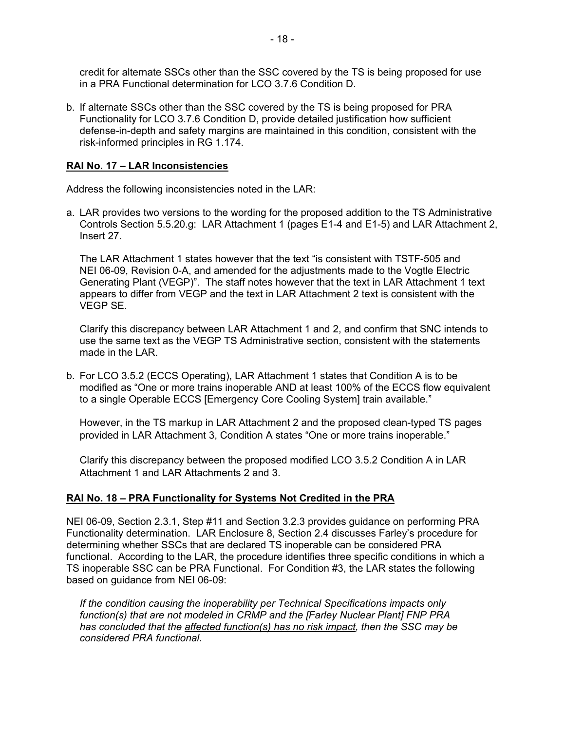credit for alternate SSCs other than the SSC covered by the TS is being proposed for use in a PRA Functional determination for LCO 3.7.6 Condition D.

b. If alternate SSCs other than the SSC covered by the TS is being proposed for PRA Functionality for LCO 3.7.6 Condition D, provide detailed justification how sufficient defense-in-depth and safety margins are maintained in this condition, consistent with the risk-informed principles in RG 1.174.

### **RAI No. 17 – LAR Inconsistencies**

Address the following inconsistencies noted in the LAR:

a. LAR provides two versions to the wording for the proposed addition to the TS Administrative Controls Section 5.5.20.g: LAR Attachment 1 (pages E1-4 and E1-5) and LAR Attachment 2, Insert 27.

The LAR Attachment 1 states however that the text "is consistent with TSTF-505 and NEI 06-09. Revision 0-A, and amended for the adjustments made to the Vogtle Electric Generating Plant (VEGP)". The staff notes however that the text in LAR Attachment 1 text appears to differ from VEGP and the text in LAR Attachment 2 text is consistent with the VEGP SE.

Clarify this discrepancy between LAR Attachment 1 and 2, and confirm that SNC intends to use the same text as the VEGP TS Administrative section, consistent with the statements made in the LAR.

b. For LCO 3.5.2 (ECCS Operating), LAR Attachment 1 states that Condition A is to be modified as "One or more trains inoperable AND at least 100% of the ECCS flow equivalent to a single Operable ECCS [Emergency Core Cooling System] train available."

However, in the TS markup in LAR Attachment 2 and the proposed clean-typed TS pages provided in LAR Attachment 3, Condition A states "One or more trains inoperable."

Clarify this discrepancy between the proposed modified LCO 3.5.2 Condition A in LAR Attachment 1 and LAR Attachments 2 and 3.

# **RAI No. 18 – PRA Functionality for Systems Not Credited in the PRA**

NEI 06-09, Section 2.3.1, Step #11 and Section 3.2.3 provides guidance on performing PRA Functionality determination. LAR Enclosure 8, Section 2.4 discusses Farley's procedure for determining whether SSCs that are declared TS inoperable can be considered PRA functional. According to the LAR, the procedure identifies three specific conditions in which a TS inoperable SSC can be PRA Functional. For Condition #3, the LAR states the following based on guidance from NEI 06-09:

*If the condition causing the inoperability per Technical Specifications impacts only function(s) that are not modeled in CRMP and the [Farley Nuclear Plant] FNP PRA has concluded that the affected function(s) has no risk impact, then the SSC may be considered PRA functional*.